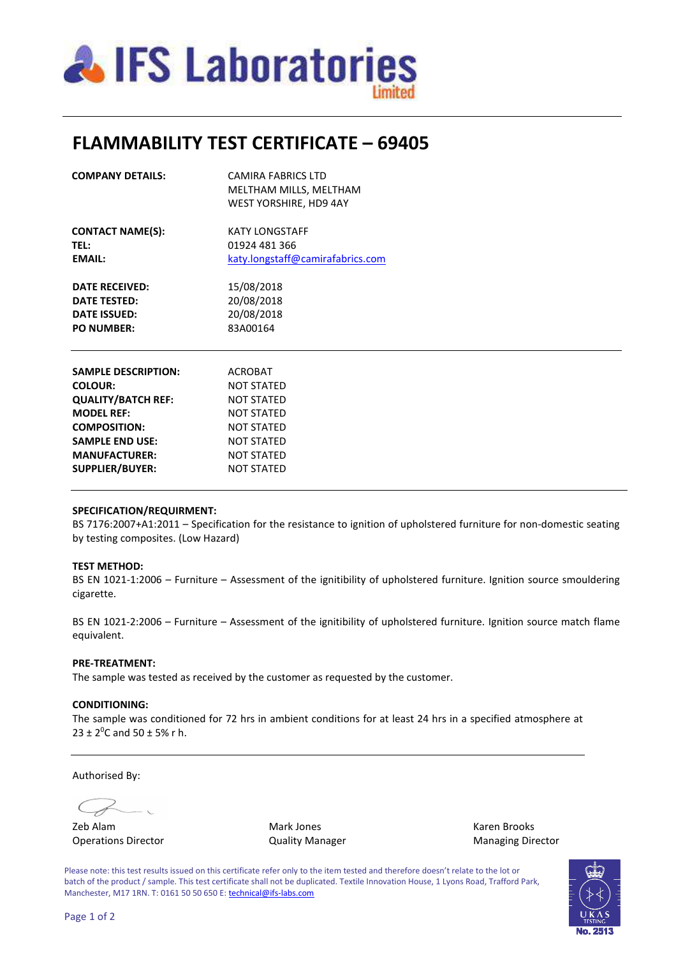

# **FLAMMABILITY TEST CERTIFICATE – 69405**

| <b>SAMPLE DESCRIPTION:</b>                                          | ACROBAT                          |  |  |  |  |
|---------------------------------------------------------------------|----------------------------------|--|--|--|--|
|                                                                     |                                  |  |  |  |  |
| <b>PO NUMBER:</b>                                                   | 83A00164                         |  |  |  |  |
| <b>DATE RECEIVED:</b><br><b>DATE TESTED:</b><br><b>DATE ISSUED:</b> | 20/08/2018                       |  |  |  |  |
|                                                                     | 20/08/2018                       |  |  |  |  |
|                                                                     | 15/08/2018                       |  |  |  |  |
| EMAIL:                                                              | katy.longstaff@camirafabrics.com |  |  |  |  |
| <b>TEL:</b>                                                         | 01924 481 366                    |  |  |  |  |
| <b>CONTACT NAME(S):</b>                                             | KATY LONGSTAFF                   |  |  |  |  |
|                                                                     | <b>WEST YORSHIRE, HD9 4AY</b>    |  |  |  |  |
|                                                                     | MELTHAM MILLS, MELTHAM           |  |  |  |  |
| <b>COMPANY DETAILS:</b>                                             | CAMIRA FABRICS LTD               |  |  |  |  |

| SAMPLE DESCRIPTION:       | ACROBAT           |
|---------------------------|-------------------|
| <b>COLOUR:</b>            | <b>NOT STATED</b> |
| <b>QUALITY/BATCH REF:</b> | <b>NOT STATED</b> |
| <b>MODEL REF:</b>         | <b>NOT STATED</b> |
| <b>COMPOSITION:</b>       | <b>NOT STATED</b> |
| <b>SAMPLE END USE:</b>    | <b>NOT STATED</b> |
| <b>MANUFACTURER:</b>      | <b>NOT STATED</b> |
| <b>SUPPLIER/BUYER:</b>    | <b>NOT STATED</b> |
|                           |                   |

#### **SPECIFICATION/REQUIRMENT:**

BS 7176:2007+A1:2011 – Specification for the resistance to ignition of upholstered furniture for non-domestic seating by testing composites. (Low Hazard)

#### **TEST METHOD:**

BS EN 1021-1:2006 – Furniture – Assessment of the ignitibility of upholstered furniture. Ignition source smouldering cigarette.

BS EN 1021-2:2006 – Furniture – Assessment of the ignitibility of upholstered furniture. Ignition source match flame equivalent.

### **PRE-TREATMENT:**

The sample was tested as received by the customer as requested by the customer.

### **CONDITIONING:**

The sample was conditioned for 72 hrs in ambient conditions for at least 24 hrs in a specified atmosphere at  $23 \pm 2^{0}$ C and  $50 \pm 5$ % r h.

Authorised By:

Operations Director **Contains Contains Contains Contains Contains Contains Contains Contains Contains Contains Contains Contains Contains Contains Contains Contains Contains Contains Contains Contains Contains Contains Con** 

Zeb Alam Mark Jones Karen Brooks

Please note: this test results issued on this certificate refer only to the item tested and therefore doesn't relate to the lot or batch of the product / sample. This test certificate shall not be duplicated. Textile Innovation House, 1 Lyons Road, Trafford Park, Manchester, M17 1RN. T: 0161 50 50 650 E: technical@ifs-labs.com